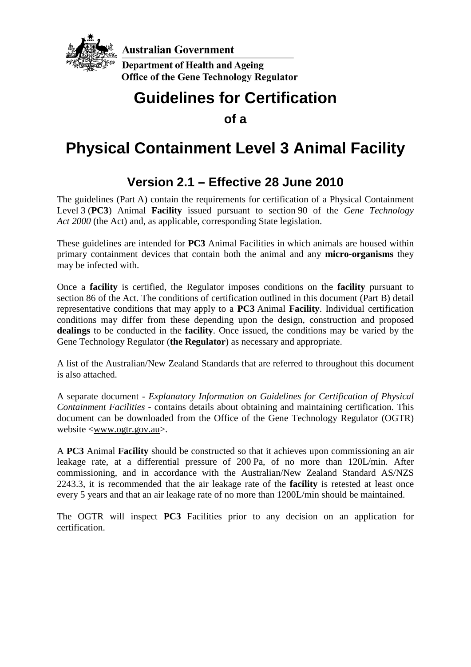

## **Guidelines for Certification**

**of a**

# **Physical Containment Level 3 Animal Facility**

## **Version 2.1 – Effective 28 June 2010**

The guidelines (Part A) contain the requirements for certification of a Physical Containment Level 3 (**PC3**) Animal **Facility** issued pursuant to section 90 of the *Gene Technology Act 2000* (the Act) and, as applicable, corresponding State legislation.

These guidelines are intended for **PC3** Animal Facilities in which animals are housed within primary containment devices that contain both the animal and any **micro-organisms** they may be infected with.

Once a **facility** is certified, the Regulator imposes conditions on the **facility** pursuant to section 86 of the Act. The conditions of certification outlined in this document (Part B) detail representative conditions that may apply to a **PC3** Animal **Facility**. Individual certification conditions may differ from these depending upon the design, construction and proposed **dealings** to be conducted in the **facility**. Once issued, the conditions may be varied by the Gene Technology Regulator (**the Regulator**) as necessary and appropriate.

A list of the Australian/New Zealand Standards that are referred to throughout this document is also attached.

A separate document - *Explanatory Information on Guidelines for Certification of Physical Containment Facilities* - contains details about obtaining and maintaining certification. This document can be downloaded from the Office of the Gene Technology Regulator (OGTR) website [<www.ogtr.gov.au>](http://www.ogtr.gov.au/).

A **PC3** Animal **Facility** should be constructed so that it achieves upon commissioning an air leakage rate, at a differential pressure of 200 Pa, of no more than 120L/min. After commissioning, and in accordance with the Australian/New Zealand Standard AS/NZS 2243.3, it is recommended that the air leakage rate of the **facility** is retested at least once every 5 years and that an air leakage rate of no more than 1200L/min should be maintained.

The OGTR will inspect **PC3** Facilities prior to any decision on an application for certification.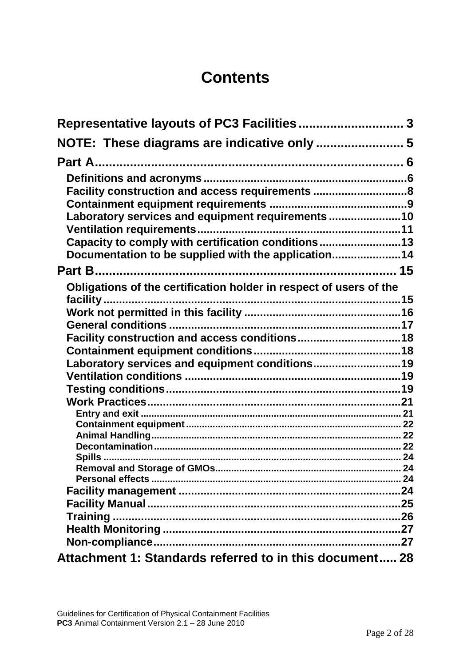## **Contents**

| Representative layouts of PC3 Facilities 3                         |  |
|--------------------------------------------------------------------|--|
| NOTE: These diagrams are indicative only  5                        |  |
|                                                                    |  |
|                                                                    |  |
| Facility construction and access requirements 8                    |  |
|                                                                    |  |
| Laboratory services and equipment requirements10                   |  |
|                                                                    |  |
| Capacity to comply with certification conditions13                 |  |
| Documentation to be supplied with the application14                |  |
|                                                                    |  |
| Obligations of the certification holder in respect of users of the |  |
|                                                                    |  |
|                                                                    |  |
|                                                                    |  |
| Facility construction and access conditions18                      |  |
|                                                                    |  |
| Laboratory services and equipment conditions19                     |  |
|                                                                    |  |
|                                                                    |  |
|                                                                    |  |
|                                                                    |  |
|                                                                    |  |
|                                                                    |  |
|                                                                    |  |
|                                                                    |  |
|                                                                    |  |
|                                                                    |  |
|                                                                    |  |
|                                                                    |  |
|                                                                    |  |
|                                                                    |  |
| Attachment 1: Standards referred to in this document 28            |  |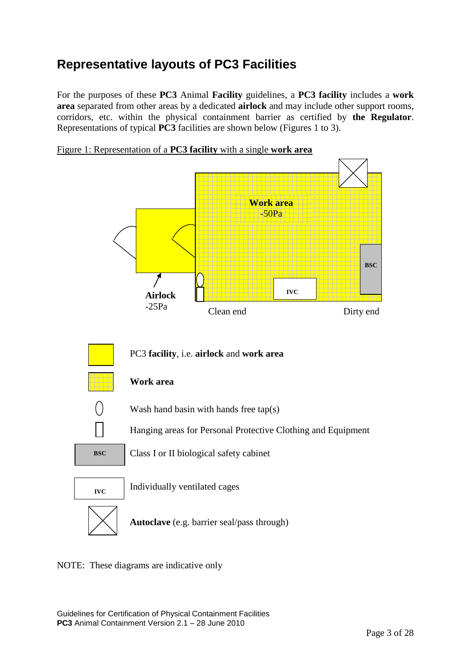## <span id="page-2-0"></span>**Representative layouts of PC3 Facilities**

For the purposes of these **PC3** Animal **Facility** guidelines, a **PC3 facility** includes a **work area** separated from other areas by a dedicated **airlock** and may include other support rooms, corridors, etc. within the physical containment barrier as certified by **the Regulator**. Representations of typical **PC3** facilities are shown below (Figures 1 to 3).





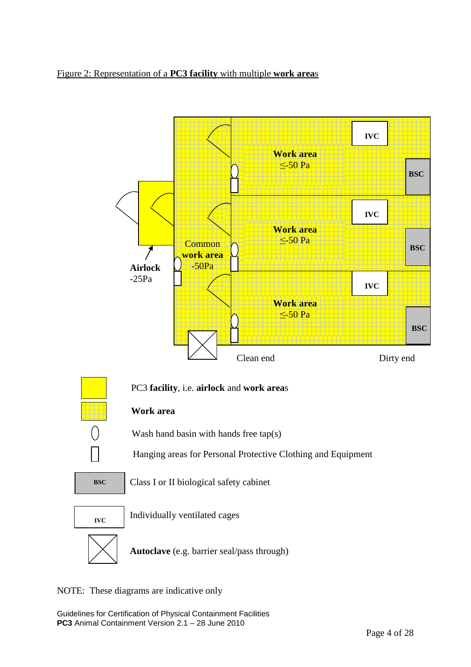#### Figure 2: Representation of a **PC3 facility** with multiple **work area**s



NOTE: These diagrams are indicative only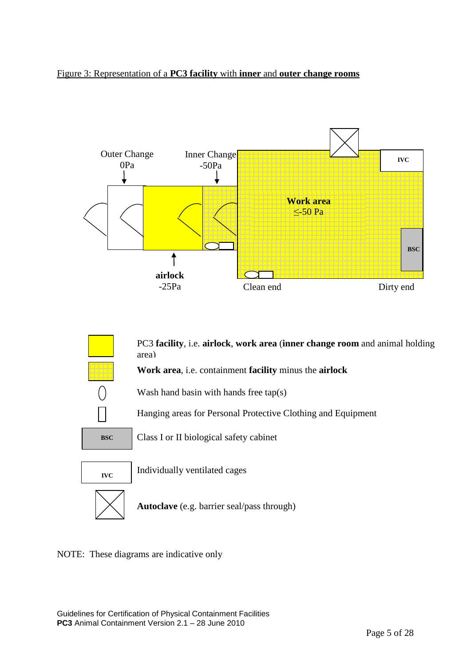#### Figure 3: Representation of a **PC3 facility** with **inner** and **outer change rooms**



PC3 **facility**, i.e. **airlock**, **work area** (**inner change room** and animal holding area)

**Work area**, i.e. containment **facility** minus the **airlock**



Wash hand basin with hands free tap(s)

Hanging areas for Personal Protective Clothing and Equipment



**BSC** Class I or II biological safety cabinet



**IVC** Individually ventilated cages

**Autoclave** (e.g. barrier seal/pass through)

<span id="page-4-0"></span>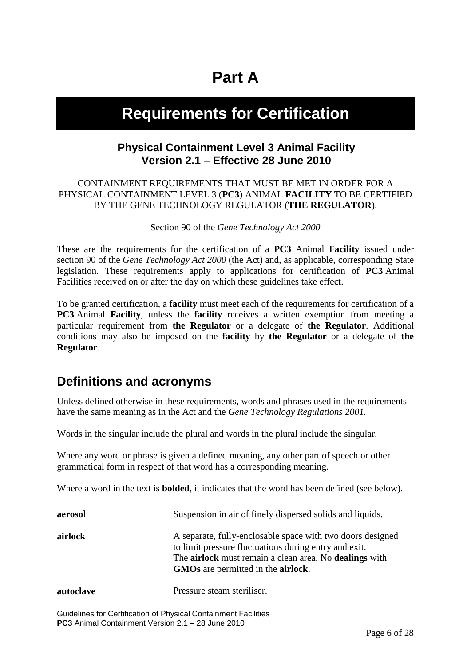# **Part A**

## <span id="page-5-0"></span>**Requirements for Certification**

#### **Physical Containment Level 3 Animal Facility Version 2.1 – Effective 28 June 2010**

#### CONTAINMENT REQUIREMENTS THAT MUST BE MET IN ORDER FOR A PHYSICAL CONTAINMENT LEVEL 3 (**PC3**) ANIMAL **FACILITY** TO BE CERTIFIED BY THE GENE TECHNOLOGY REGULATOR (**THE REGULATOR**).

Section 90 of the *Gene Technology Act 2000*

These are the requirements for the certification of a **PC3** Animal **Facility** issued under section 90 of the *Gene Technology Act 2000* (the Act) and, as applicable, corresponding State legislation. These requirements apply to applications for certification of **PC3** Animal Facilities received on or after the day on which these guidelines take effect.

To be granted certification, a **facility** must meet each of the requirements for certification of a **PC3** Animal **Facility**, unless the **facility** receives a written exemption from meeting a particular requirement from **the Regulator** or a delegate of **the Regulator**. Additional conditions may also be imposed on the **facility** by **the Regulator** or a delegate of **the Regulator**.

### <span id="page-5-1"></span>**Definitions and acronyms**

Unless defined otherwise in these requirements, words and phrases used in the requirements have the same meaning as in the Act and the *Gene Technology Regulations 2001.*

Words in the singular include the plural and words in the plural include the singular.

Where any word or phrase is given a defined meaning, any other part of speech or other grammatical form in respect of that word has a corresponding meaning.

Where a word in the text is **bolded**, it indicates that the word has been defined (see below).

| aerosol   | Suspension in air of finely dispersed solids and liquids.                                                                                                                                                                                        |
|-----------|--------------------------------------------------------------------------------------------------------------------------------------------------------------------------------------------------------------------------------------------------|
| airlock   | A separate, fully-enclosable space with two doors designed<br>to limit pressure fluctuations during entry and exit.<br>The <b>airlock</b> must remain a clean area. No <b>dealings</b> with<br><b>GMOs</b> are permitted in the <b>airlock</b> . |
| autoclave | Pressure steam steriliser.                                                                                                                                                                                                                       |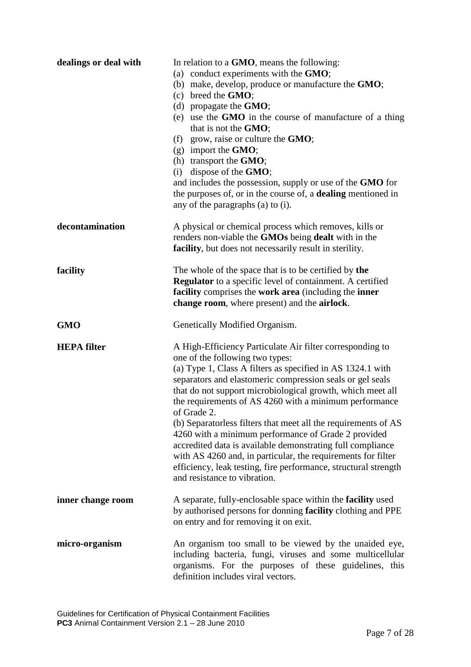| dealings or deal with | In relation to a GMO, means the following:<br>(a) conduct experiments with the GMO;<br>(b) make, develop, produce or manufacture the <b>GMO</b> ;<br>$(c)$ breed the <b>GMO</b> ;<br>(d) propagate the $GMO$ ;<br>(e) use the GMO in the course of manufacture of a thing<br>that is not the GMO;<br>(f) grow, raise or culture the $GMO$ ;<br>$(g)$ import the <b>GMO</b> ;<br>(h) transport the GMO;<br>$(i)$ dispose of the <b>GMO</b> ;<br>and includes the possession, supply or use of the GMO for<br>the purposes of, or in the course of, a dealing mentioned in<br>any of the paragraphs (a) to (i).                                                                                                            |
|-----------------------|--------------------------------------------------------------------------------------------------------------------------------------------------------------------------------------------------------------------------------------------------------------------------------------------------------------------------------------------------------------------------------------------------------------------------------------------------------------------------------------------------------------------------------------------------------------------------------------------------------------------------------------------------------------------------------------------------------------------------|
| decontamination       | A physical or chemical process which removes, kills or<br>renders non-viable the GMOs being dealt with in the<br>facility, but does not necessarily result in sterility.                                                                                                                                                                                                                                                                                                                                                                                                                                                                                                                                                 |
| facility              | The whole of the space that is to be certified by the<br><b>Regulator</b> to a specific level of containment. A certified<br>facility comprises the work area (including the inner<br>change room, where present) and the airlock.                                                                                                                                                                                                                                                                                                                                                                                                                                                                                       |
| <b>GMO</b>            | Genetically Modified Organism.                                                                                                                                                                                                                                                                                                                                                                                                                                                                                                                                                                                                                                                                                           |
| <b>HEPA</b> filter    | A High-Efficiency Particulate Air filter corresponding to<br>one of the following two types:<br>(a) Type 1, Class A filters as specified in AS 1324.1 with<br>separators and elastomeric compression seals or gel seals<br>that do not support microbiological growth, which meet all<br>the requirements of AS 4260 with a minimum performance<br>of Grade 2.<br>(b) Separatorless filters that meet all the requirements of AS<br>4260 with a minimum performance of Grade 2 provided<br>accredited data is available demonstrating full compliance<br>with AS 4260 and, in particular, the requirements for filter<br>efficiency, leak testing, fire performance, structural strength<br>and resistance to vibration. |
| inner change room     | A separate, fully-enclosable space within the facility used<br>by authorised persons for donning facility clothing and PPE<br>on entry and for removing it on exit.                                                                                                                                                                                                                                                                                                                                                                                                                                                                                                                                                      |
| micro-organism        | An organism too small to be viewed by the unaided eye,<br>including bacteria, fungi, viruses and some multicellular<br>organisms. For the purposes of these guidelines, this<br>definition includes viral vectors.                                                                                                                                                                                                                                                                                                                                                                                                                                                                                                       |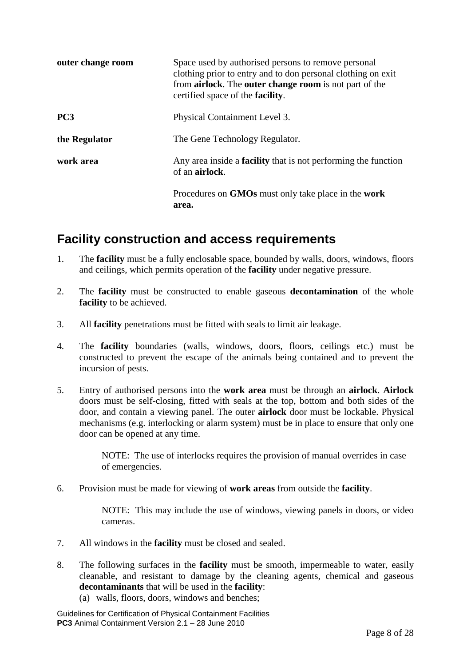| outer change room | Space used by authorised persons to remove personal<br>clothing prior to entry and to don personal clothing on exit<br>from <b>airlock</b> . The <b>outer change room</b> is not part of the<br>certified space of the <b>facility</b> . |
|-------------------|------------------------------------------------------------------------------------------------------------------------------------------------------------------------------------------------------------------------------------------|
| PC <sub>3</sub>   | Physical Containment Level 3.                                                                                                                                                                                                            |
| the Regulator     | The Gene Technology Regulator.                                                                                                                                                                                                           |
| work area         | Any area inside a <b>facility</b> that is not performing the function<br>of an airlock.                                                                                                                                                  |
|                   | Procedures on GMOs must only take place in the work<br>area.                                                                                                                                                                             |

### <span id="page-7-0"></span>**Facility construction and access requirements**

- 1. The **facility** must be a fully enclosable space, bounded by walls, doors, windows, floors and ceilings, which permits operation of the **facility** under negative pressure.
- 2. The **facility** must be constructed to enable gaseous **decontamination** of the whole **facility** to be achieved.
- 3. All **facility** penetrations must be fitted with seals to limit air leakage.
- 4. The **facility** boundaries (walls, windows, doors, floors, ceilings etc.) must be constructed to prevent the escape of the animals being contained and to prevent the incursion of pests.
- 5. Entry of authorised persons into the **work area** must be through an **airlock**. **Airlock** doors must be self-closing, fitted with seals at the top, bottom and both sides of the door, and contain a viewing panel. The outer **airlock** door must be lockable. Physical mechanisms (e.g. interlocking or alarm system) must be in place to ensure that only one door can be opened at any time.

NOTE: The use of interlocks requires the provision of manual overrides in case of emergencies.

6. Provision must be made for viewing of **work areas** from outside the **facility**.

NOTE: This may include the use of windows, viewing panels in doors, or video cameras.

- 7. All windows in the **facility** must be closed and sealed.
- 8. The following surfaces in the **facility** must be smooth, impermeable to water, easily cleanable, and resistant to damage by the cleaning agents, chemical and gaseous **decontaminants** that will be used in the **facility**:
	- (a) walls, floors, doors, windows and benches;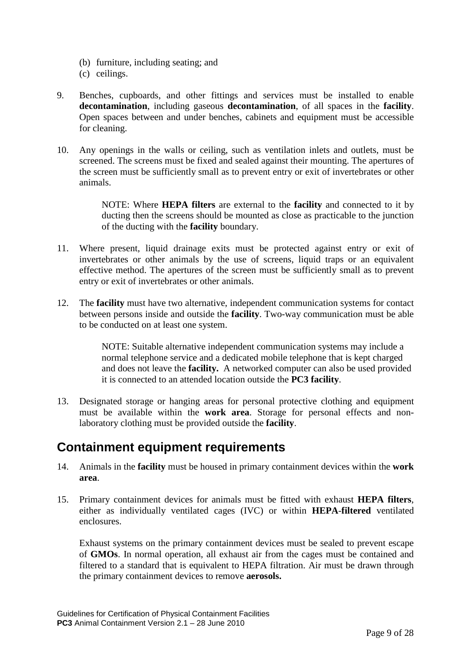- (b) furniture, including seating; and
- (c) ceilings.
- 9. Benches, cupboards, and other fittings and services must be installed to enable **decontamination**, including gaseous **decontamination**, of all spaces in the **facility**. Open spaces between and under benches, cabinets and equipment must be accessible for cleaning.
- 10. Any openings in the walls or ceiling, such as ventilation inlets and outlets, must be screened. The screens must be fixed and sealed against their mounting. The apertures of the screen must be sufficiently small as to prevent entry or exit of invertebrates or other animals.

NOTE: Where **HEPA filters** are external to the **facility** and connected to it by ducting then the screens should be mounted as close as practicable to the junction of the ducting with the **facility** boundary.

- 11. Where present, liquid drainage exits must be protected against entry or exit of invertebrates or other animals by the use of screens, liquid traps or an equivalent effective method. The apertures of the screen must be sufficiently small as to prevent entry or exit of invertebrates or other animals.
- 12. The **facility** must have two alternative, independent communication systems for contact between persons inside and outside the **facility**. Two-way communication must be able to be conducted on at least one system.

NOTE: Suitable alternative independent communication systems may include a normal telephone service and a dedicated mobile telephone that is kept charged and does not leave the **facility.** A networked computer can also be used provided it is connected to an attended location outside the **PC3 facility**.

13. Designated storage or hanging areas for personal protective clothing and equipment must be available within the **work area**. Storage for personal effects and nonlaboratory clothing must be provided outside the **facility**.

### <span id="page-8-0"></span>**Containment equipment requirements**

- 14. Animals in the **facility** must be housed in primary containment devices within the **work area**.
- 15. Primary containment devices for animals must be fitted with exhaust **HEPA filters**, either as individually ventilated cages (IVC) or within **HEPA**-**filtered** ventilated enclosures.

Exhaust systems on the primary containment devices must be sealed to prevent escape of **GMOs**. In normal operation, all exhaust air from the cages must be contained and filtered to a standard that is equivalent to HEPA filtration. Air must be drawn through the primary containment devices to remove **aerosols.**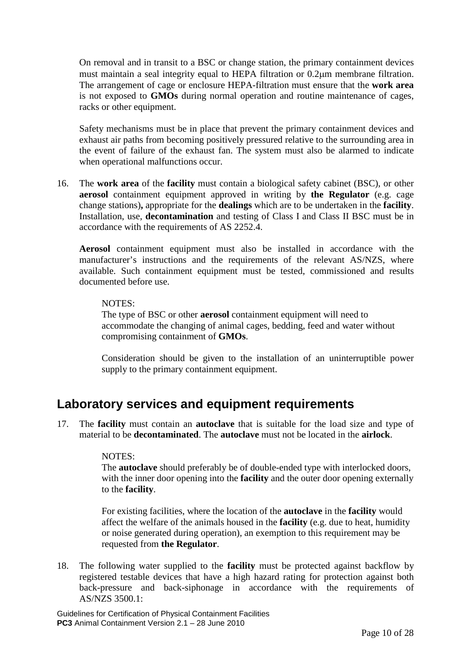On removal and in transit to a BSC or change station, the primary containment devices must maintain a seal integrity equal to HEPA filtration or 0.2µm membrane filtration. The arrangement of cage or enclosure HEPA-filtration must ensure that the **work area** is not exposed to **GMOs** during normal operation and routine maintenance of cages, racks or other equipment.

Safety mechanisms must be in place that prevent the primary containment devices and exhaust air paths from becoming positively pressured relative to the surrounding area in the event of failure of the exhaust fan. The system must also be alarmed to indicate when operational malfunctions occur.

16. The **work area** of the **facility** must contain a biological safety cabinet (BSC), or other **aerosol** containment equipment approved in writing by **the Regulator** (e.g. cage change stations)**,** appropriate for the **dealings** which are to be undertaken in the **facility**. Installation, use, **decontamination** and testing of Class I and Class II BSC must be in accordance with the requirements of AS 2252.4.

**Aerosol** containment equipment must also be installed in accordance with the manufacturer's instructions and the requirements of the relevant AS/NZS, where available. Such containment equipment must be tested, commissioned and results documented before use.

#### NOTES:

The type of BSC or other **aerosol** containment equipment will need to accommodate the changing of animal cages, bedding, feed and water without compromising containment of **GMOs**.

Consideration should be given to the installation of an uninterruptible power supply to the primary containment equipment.

### <span id="page-9-0"></span>**Laboratory services and equipment requirements**

17. The **facility** must contain an **autoclave** that is suitable for the load size and type of material to be **decontaminated**. The **autoclave** must not be located in the **airlock**.

#### NOTES:

The **autoclave** should preferably be of double-ended type with interlocked doors, with the inner door opening into the **facility** and the outer door opening externally to the **facility**.

For existing facilities, where the location of the **autoclave** in the **facility** would affect the welfare of the animals housed in the **facility** (e.g. due to heat, humidity or noise generated during operation), an exemption to this requirement may be requested from **the Regulator**.

18. The following water supplied to the **facility** must be protected against backflow by registered testable devices that have a high hazard rating for protection against both back-pressure and back-siphonage in accordance with the requirements of AS/NZS 3500.1: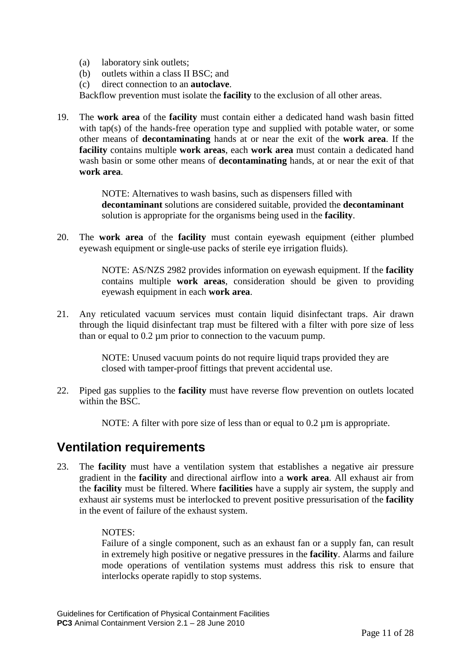- (a) laboratory sink outlets;
- (b) outlets within a class II BSC; and
- (c) direct connection to an **autoclave**.

Backflow prevention must isolate the **facility** to the exclusion of all other areas.

19. The **work area** of the **facility** must contain either a dedicated hand wash basin fitted with tap(s) of the hands-free operation type and supplied with potable water, or some other means of **decontaminating** hands at or near the exit of the **work area**. If the **facility** contains multiple **work areas**, each **work area** must contain a dedicated hand wash basin or some other means of **decontaminating** hands, at or near the exit of that **work area**.

> NOTE: Alternatives to wash basins, such as dispensers filled with **decontaminant** solutions are considered suitable, provided the **decontaminant** solution is appropriate for the organisms being used in the **facility**.

20. The **work area** of the **facility** must contain eyewash equipment (either plumbed eyewash equipment or single-use packs of sterile eye irrigation fluids).

> NOTE: AS/NZS 2982 provides information on eyewash equipment. If the **facility** contains multiple **work areas**, consideration should be given to providing eyewash equipment in each **work area**.

21. Any reticulated vacuum services must contain liquid disinfectant traps. Air drawn through the liquid disinfectant trap must be filtered with a filter with pore size of less than or equal to 0.2 µm prior to connection to the vacuum pump.

> NOTE: Unused vacuum points do not require liquid traps provided they are closed with tamper-proof fittings that prevent accidental use.

22. Piped gas supplies to the **facility** must have reverse flow prevention on outlets located within the BSC.

NOTE: A filter with pore size of less than or equal to 0.2  $\mu$ m is appropriate.

### <span id="page-10-0"></span>**Ventilation requirements**

23. The **facility** must have a ventilation system that establishes a negative air pressure gradient in the **facility** and directional airflow into a **work area**. All exhaust air from the **facility** must be filtered. Where **facilities** have a supply air system, the supply and exhaust air systems must be interlocked to prevent positive pressurisation of the **facility** in the event of failure of the exhaust system.

#### NOTES:

Failure of a single component, such as an exhaust fan or a supply fan, can result in extremely high positive or negative pressures in the **facility**. Alarms and failure mode operations of ventilation systems must address this risk to ensure that interlocks operate rapidly to stop systems.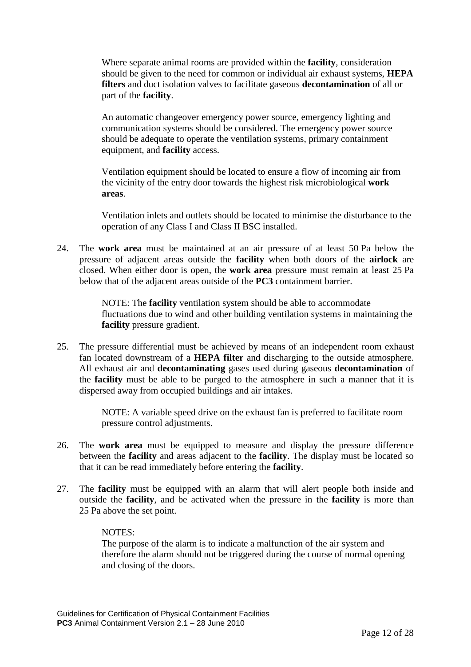Where separate animal rooms are provided within the **facility**, consideration should be given to the need for common or individual air exhaust systems, **HEPA filters** and duct isolation valves to facilitate gaseous **decontamination** of all or part of the **facility**.

An automatic changeover emergency power source, emergency lighting and communication systems should be considered. The emergency power source should be adequate to operate the ventilation systems, primary containment equipment, and **facility** access.

Ventilation equipment should be located to ensure a flow of incoming air from the vicinity of the entry door towards the highest risk microbiological **work areas**.

Ventilation inlets and outlets should be located to minimise the disturbance to the operation of any Class I and Class II BSC installed.

24. The **work area** must be maintained at an air pressure of at least 50 Pa below the pressure of adjacent areas outside the **facility** when both doors of the **airlock** are closed. When either door is open, the **work area** pressure must remain at least 25 Pa below that of the adjacent areas outside of the **PC3** containment barrier.

> NOTE: The **facility** ventilation system should be able to accommodate fluctuations due to wind and other building ventilation systems in maintaining the **facility** pressure gradient.

25. The pressure differential must be achieved by means of an independent room exhaust fan located downstream of a **HEPA filter** and discharging to the outside atmosphere. All exhaust air and **decontaminating** gases used during gaseous **decontamination** of the **facility** must be able to be purged to the atmosphere in such a manner that it is dispersed away from occupied buildings and air intakes.

> NOTE: A variable speed drive on the exhaust fan is preferred to facilitate room pressure control adjustments.

- 26. The **work area** must be equipped to measure and display the pressure difference between the **facility** and areas adjacent to the **facility**. The display must be located so that it can be read immediately before entering the **facility**.
- 27. The **facility** must be equipped with an alarm that will alert people both inside and outside the **facility**, and be activated when the pressure in the **facility** is more than 25 Pa above the set point.

#### NOTES:

The purpose of the alarm is to indicate a malfunction of the air system and therefore the alarm should not be triggered during the course of normal opening and closing of the doors.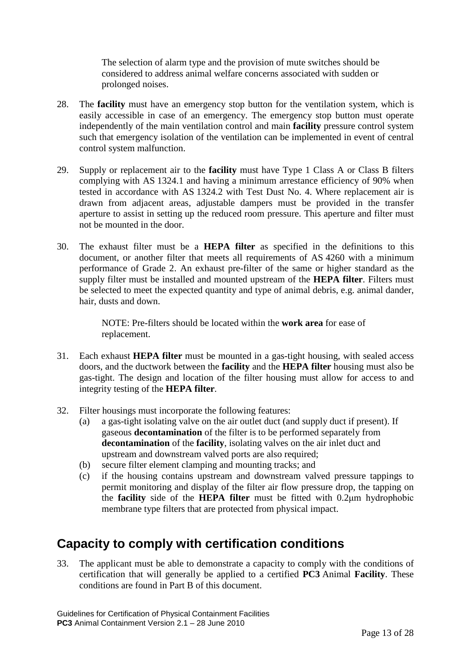The selection of alarm type and the provision of mute switches should be considered to address animal welfare concerns associated with sudden or prolonged noises.

- 28. The **facility** must have an emergency stop button for the ventilation system, which is easily accessible in case of an emergency. The emergency stop button must operate independently of the main ventilation control and main **facility** pressure control system such that emergency isolation of the ventilation can be implemented in event of central control system malfunction.
- 29. Supply or replacement air to the **facility** must have Type 1 Class A or Class B filters complying with AS 1324.1 and having a minimum arrestance efficiency of 90% when tested in accordance with AS 1324.2 with Test Dust No. 4. Where replacement air is drawn from adjacent areas, adjustable dampers must be provided in the transfer aperture to assist in setting up the reduced room pressure. This aperture and filter must not be mounted in the door.
- 30. The exhaust filter must be a **HEPA filter** as specified in the definitions to this document, or another filter that meets all requirements of AS 4260 with a minimum performance of Grade 2. An exhaust pre-filter of the same or higher standard as the supply filter must be installed and mounted upstream of the **HEPA filter**. Filters must be selected to meet the expected quantity and type of animal debris, e.g. animal dander, hair, dusts and down.

NOTE: Pre-filters should be located within the **work area** for ease of replacement.

- 31. Each exhaust **HEPA filter** must be mounted in a gas-tight housing, with sealed access doors, and the ductwork between the **facility** and the **HEPA filter** housing must also be gas-tight. The design and location of the filter housing must allow for access to and integrity testing of the **HEPA filter**.
- 32. Filter housings must incorporate the following features:
	- (a) a gas-tight isolating valve on the air outlet duct (and supply duct if present). If gaseous **decontamination** of the filter is to be performed separately from **decontamination** of the **facility**, isolating valves on the air inlet duct and upstream and downstream valved ports are also required;
	- (b) secure filter element clamping and mounting tracks; and
	- (c) if the housing contains upstream and downstream valved pressure tappings to permit monitoring and display of the filter air flow pressure drop, the tapping on the **facility** side of the **HEPA filter** must be fitted with 0.2μm hydrophobic membrane type filters that are protected from physical impact.

### <span id="page-12-0"></span>**Capacity to comply with certification conditions**

33. The applicant must be able to demonstrate a capacity to comply with the conditions of certification that will generally be applied to a certified **PC3** Animal **Facility**. These conditions are found in Part B of this document.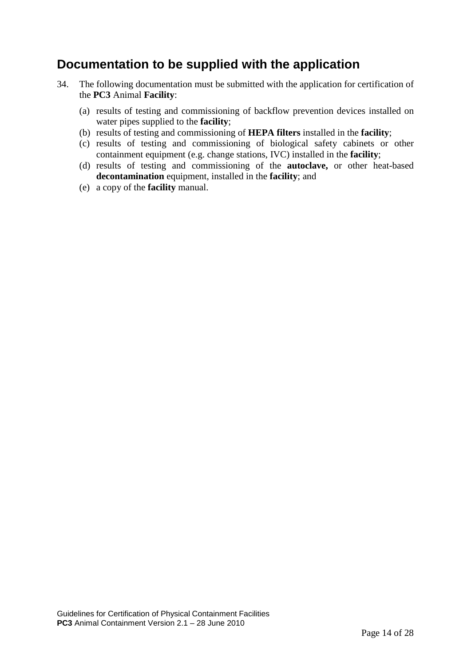### <span id="page-13-0"></span>**Documentation to be supplied with the application**

- 34. The following documentation must be submitted with the application for certification of the **PC3** Animal **Facility**:
	- (a) results of testing and commissioning of backflow prevention devices installed on water pipes supplied to the **facility**;
	- (b) results of testing and commissioning of **HEPA filters** installed in the **facility**;
	- (c) results of testing and commissioning of biological safety cabinets or other containment equipment (e.g. change stations, IVC) installed in the **facility**;
	- (d) results of testing and commissioning of the **autoclave,** or other heat-based **decontamination** equipment, installed in the **facility**; and
	- (e) a copy of the **facility** manual.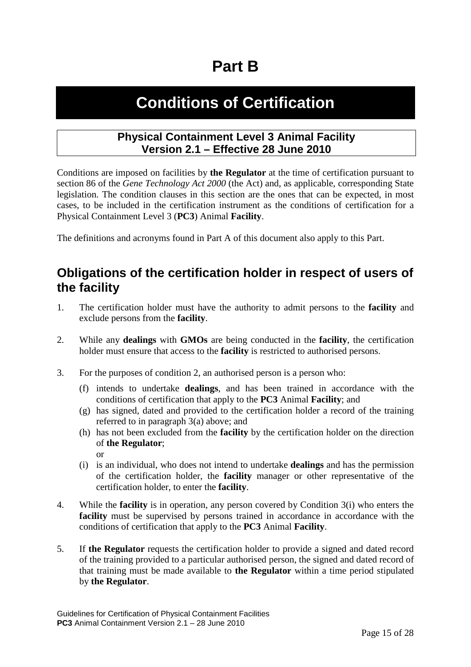# <span id="page-14-0"></span>**Part B**

# **Conditions of Certification**

#### **Physical Containment Level 3 Animal Facility Version 2.1 – Effective 28 June 2010**

Conditions are imposed on facilities by **the Regulator** at the time of certification pursuant to section 86 of the *Gene Technology Act 2000* (the Act) and, as applicable, corresponding State legislation. The condition clauses in this section are the ones that can be expected, in most cases, to be included in the certification instrument as the conditions of certification for a Physical Containment Level 3 (**PC3**) Animal **Facility**.

The definitions and acronyms found in Part A of this document also apply to this Part.

### <span id="page-14-1"></span>**Obligations of the certification holder in respect of users of the facility**

- 1. The certification holder must have the authority to admit persons to the **facility** and exclude persons from the **facility**.
- 2. While any **dealings** with **GMOs** are being conducted in the **facility**, the certification holder must ensure that access to the **facility** is restricted to authorised persons.
- 3. For the purposes of condition 2, an authorised person is a person who:
	- (f) intends to undertake **dealings**, and has been trained in accordance with the conditions of certification that apply to the **PC3** Animal **Facility**; and
	- (g) has signed, dated and provided to the certification holder a record of the training referred to in paragraph 3(a) above; and
	- (h) has not been excluded from the **facility** by the certification holder on the direction of **the Regulator**;

or

- <span id="page-14-2"></span>(i) is an individual, who does not intend to undertake **dealings** and has the permission of the certification holder, the **facility** manager or other representative of the certification holder, to enter the **facility**.
- 4. While the **facility** is in operation, any person covered by Condition [3\(i\)](#page-14-2) who enters the **facility** must be supervised by persons trained in accordance in accordance with the conditions of certification that apply to the **PC3** Animal **Facility**.
- 5. If **the Regulator** requests the certification holder to provide a signed and dated record of the training provided to a particular authorised person, the signed and dated record of that training must be made available to **the Regulator** within a time period stipulated by **the Regulator**.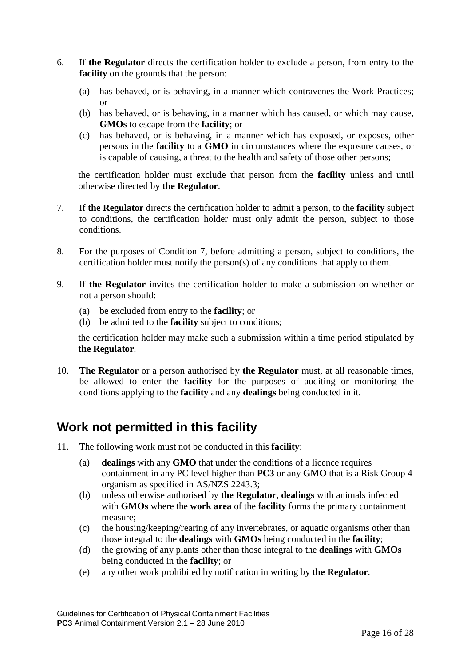- 6. If **the Regulator** directs the certification holder to exclude a person, from entry to the **facility** on the grounds that the person:
	- (a) has behaved, or is behaving, in a manner which contravenes the Work Practices; or
	- (b) has behaved, or is behaving, in a manner which has caused, or which may cause, **GMOs** to escape from the **facility**; or
	- (c) has behaved, or is behaving, in a manner which has exposed, or exposes, other persons in the **facility** to a **GMO** in circumstances where the exposure causes, or is capable of causing, a threat to the health and safety of those other persons;

the certification holder must exclude that person from the **facility** unless and until otherwise directed by **the Regulator**.

- 7. If **the Regulator** directs the certification holder to admit a person, to the **facility** subject to conditions, the certification holder must only admit the person, subject to those conditions.
- 8. For the purposes of Condition 7, before admitting a person, subject to conditions, the certification holder must notify the person(s) of any conditions that apply to them.
- 9. If **the Regulator** invites the certification holder to make a submission on whether or not a person should:
	- (a) be excluded from entry to the **facility**; or
	- (b) be admitted to the **facility** subject to conditions;

the certification holder may make such a submission within a time period stipulated by **the Regulator**.

10. **The Regulator** or a person authorised by **the Regulator** must, at all reasonable times, be allowed to enter the **facility** for the purposes of auditing or monitoring the conditions applying to the **facility** and any **dealings** being conducted in it.

## <span id="page-15-0"></span>**Work not permitted in this facility**

- 11. The following work must not be conducted in this **facility**:
	- (a) **dealings** with any **GMO** that under the conditions of a licence requires containment in any PC level higher than **PC3** or any **GMO** that is a Risk Group 4 organism as specified in AS/NZS 2243.3;
	- (b) unless otherwise authorised by **the Regulator**, **dealings** with animals infected with **GMOs** where the **work area** of the **facility** forms the primary containment measure;
	- (c) the housing/keeping/rearing of any invertebrates, or aquatic organisms other than those integral to the **dealings** with **GMOs** being conducted in the **facility**;
	- (d) the growing of any plants other than those integral to the **dealings** with **GMOs** being conducted in the **facility**; or
	- (e) any other work prohibited by notification in writing by **the Regulator**.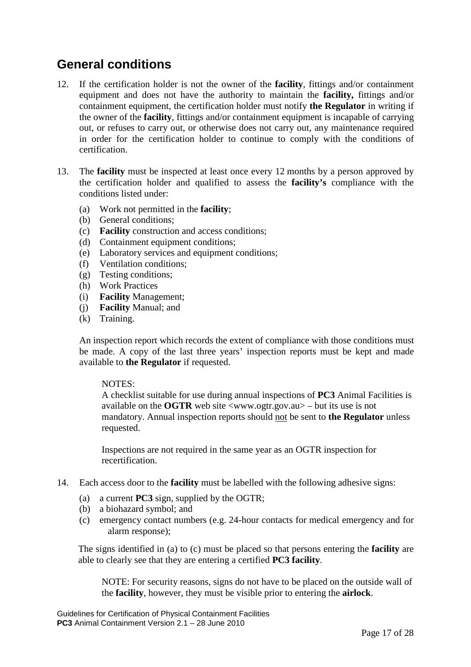## <span id="page-16-0"></span>**General conditions**

- 12. If the certification holder is not the owner of the **facility**, fittings and/or containment equipment and does not have the authority to maintain the **facility,** fittings and/or containment equipment, the certification holder must notify **the Regulator** in writing if the owner of the **facility**, fittings and/or containment equipment is incapable of carrying out, or refuses to carry out, or otherwise does not carry out, any maintenance required in order for the certification holder to continue to comply with the conditions of certification.
- 13. The **facility** must be inspected at least once every 12 months by a person approved by the certification holder and qualified to assess the **facility's** compliance with the conditions listed under:
	- (a) Work not permitted in the **facility**;
	- (b) General conditions;
	- (c) **Facility** construction and access conditions;
	- (d) Containment equipment conditions;
	- (e) Laboratory services and equipment conditions;
	- (f) Ventilation conditions;
	- (g) Testing conditions;
	- (h) Work Practices
	- (i) **Facility** Management;
	- (j) **Facility** Manual; and
	- (k) Training.

An inspection report which records the extent of compliance with those conditions must be made. A copy of the last three years' inspection reports must be kept and made available to **the Regulator** if requested.

#### NOTES:

A checklist suitable for use during annual inspections of **PC3** Animal Facilities is available on the **OGTR** web site <www.ogtr.gov.au> – but its use is not mandatory. Annual inspection reports should not be sent to **the Regulator** unless requested.

Inspections are not required in the same year as an OGTR inspection for recertification.

- 14. Each access door to the **facility** must be labelled with the following adhesive signs:
	- (a) a current **PC3** sign, supplied by the OGTR;
	- (b) a biohazard symbol; and
	- (c) emergency contact numbers (e.g. 24-hour contacts for medical emergency and for alarm response);

The signs identified in (a) to (c) must be placed so that persons entering the **facility** are able to clearly see that they are entering a certified **PC3 facility**.

NOTE: For security reasons, signs do not have to be placed on the outside wall of the **facility**, however, they must be visible prior to entering the **airlock**.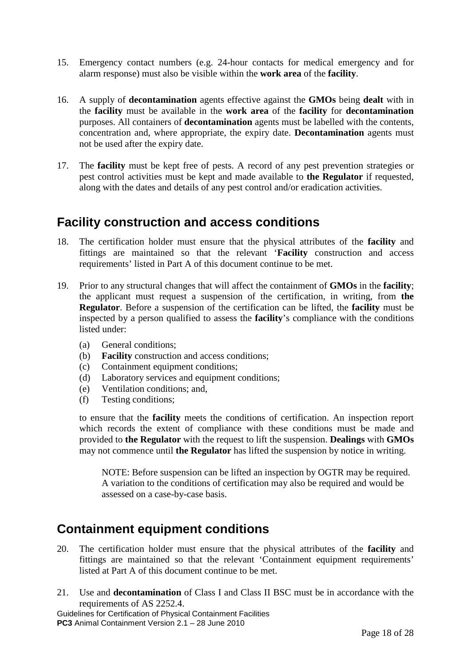- 15. Emergency contact numbers (e.g. 24-hour contacts for medical emergency and for alarm response) must also be visible within the **work area** of the **facility**.
- 16. A supply of **decontamination** agents effective against the **GMOs** being **dealt** with in the **facility** must be available in the **work area** of the **facility** for **decontamination** purposes. All containers of **decontamination** agents must be labelled with the contents, concentration and, where appropriate, the expiry date. **Decontamination** agents must not be used after the expiry date.
- 17. The **facility** must be kept free of pests. A record of any pest prevention strategies or pest control activities must be kept and made available to **the Regulator** if requested, along with the dates and details of any pest control and/or eradication activities.

### <span id="page-17-0"></span>**Facility construction and access conditions**

- 18. The certification holder must ensure that the physical attributes of the **facility** and fittings are maintained so that the relevant '**Facility** construction and access requirements' listed in Part A of this document continue to be met.
- 19. Prior to any structural changes that will affect the containment of **GMOs** in the **facility**; the applicant must request a suspension of the certification, in writing, from **the Regulator**. Before a suspension of the certification can be lifted, the **facility** must be inspected by a person qualified to assess the **facility**'s compliance with the conditions listed under:
	- (a) General conditions;
	- (b) **Facility** construction and access conditions;
	- (c) Containment equipment conditions;
	- (d) Laboratory services and equipment conditions;
	- (e) Ventilation conditions; and,
	- (f) Testing conditions;

to ensure that the **facility** meets the conditions of certification. An inspection report which records the extent of compliance with these conditions must be made and provided to **the Regulator** with the request to lift the suspension. **Dealings** with **GMOs** may not commence until **the Regulator** has lifted the suspension by notice in writing.

NOTE: Before suspension can be lifted an inspection by OGTR may be required. A variation to the conditions of certification may also be required and would be assessed on a case-by-case basis.

### <span id="page-17-1"></span>**Containment equipment conditions**

- 20. The certification holder must ensure that the physical attributes of the **facility** and fittings are maintained so that the relevant 'Containment equipment requirements' listed at Part A of this document continue to be met.
- 21. Use and **decontamination** of Class I and Class II BSC must be in accordance with the requirements of AS 2252.4.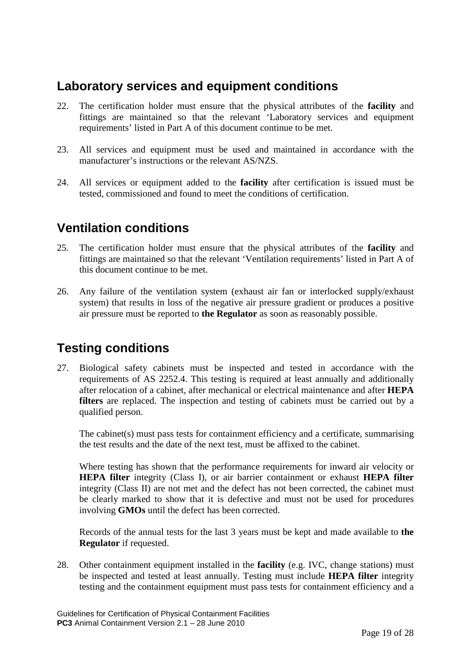### <span id="page-18-0"></span>**Laboratory services and equipment conditions**

- 22. The certification holder must ensure that the physical attributes of the **facility** and fittings are maintained so that the relevant 'Laboratory services and equipment requirements' listed in Part A of this document continue to be met.
- 23. All services and equipment must be used and maintained in accordance with the manufacturer's instructions or the relevant AS/NZS.
- 24. All services or equipment added to the **facility** after certification is issued must be tested, commissioned and found to meet the conditions of certification.

### <span id="page-18-1"></span>**Ventilation conditions**

- 25. The certification holder must ensure that the physical attributes of the **facility** and fittings are maintained so that the relevant 'Ventilation requirements' listed in Part A of this document continue to be met.
- 26. Any failure of the ventilation system (exhaust air fan or interlocked supply/exhaust system) that results in loss of the negative air pressure gradient or produces a positive air pressure must be reported to **the Regulator** as soon as reasonably possible.

## <span id="page-18-2"></span>**Testing conditions**

27. Biological safety cabinets must be inspected and tested in accordance with the requirements of AS 2252.4. This testing is required at least annually and additionally after relocation of a cabinet, after mechanical or electrical maintenance and after **HEPA filters** are replaced. The inspection and testing of cabinets must be carried out by a qualified person.

The cabinet(s) must pass tests for containment efficiency and a certificate, summarising the test results and the date of the next test, must be affixed to the cabinet.

Where testing has shown that the performance requirements for inward air velocity or **HEPA filter** integrity (Class I), or air barrier containment or exhaust **HEPA filter** integrity (Class II) are not met and the defect has not been corrected, the cabinet must be clearly marked to show that it is defective and must not be used for procedures involving **GMOs** until the defect has been corrected.

Records of the annual tests for the last 3 years must be kept and made available to **the Regulator** if requested.

28. Other containment equipment installed in the **facility** (e.g. IVC, change stations) must be inspected and tested at least annually. Testing must include **HEPA filter** integrity testing and the containment equipment must pass tests for containment efficiency and a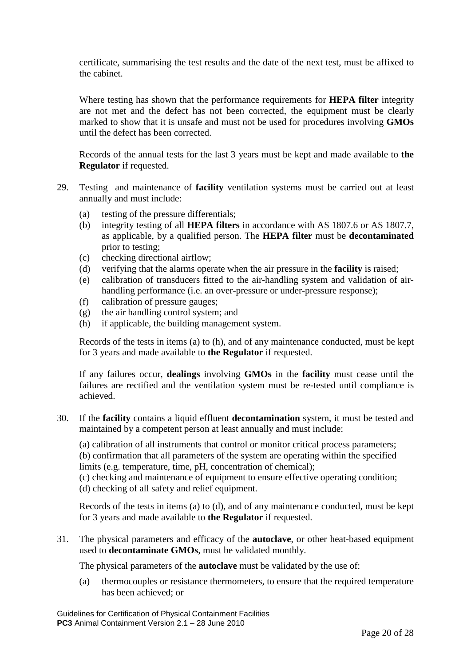certificate, summarising the test results and the date of the next test, must be affixed to the cabinet.

Where testing has shown that the performance requirements for **HEPA filter** integrity are not met and the defect has not been corrected, the equipment must be clearly marked to show that it is unsafe and must not be used for procedures involving **GMOs** until the defect has been corrected.

Records of the annual tests for the last 3 years must be kept and made available to **the Regulator** if requested.

- 29. Testing and maintenance of **facility** ventilation systems must be carried out at least annually and must include:
	- (a) testing of the pressure differentials;
	- (b) integrity testing of all **HEPA filters** in accordance with AS 1807.6 or AS 1807.7, as applicable, by a qualified person. The **HEPA filter** must be **decontaminated** prior to testing;
	- (c) checking directional airflow;
	- (d) verifying that the alarms operate when the air pressure in the **facility** is raised;
	- (e) calibration of transducers fitted to the air-handling system and validation of airhandling performance (i.e. an over-pressure or under-pressure response);
	- (f) calibration of pressure gauges;
	- (g) the air handling control system; and
	- (h) if applicable, the building management system.

Records of the tests in items (a) to (h), and of any maintenance conducted, must be kept for 3 years and made available to **the Regulator** if requested.

If any failures occur, **dealings** involving **GMOs** in the **facility** must cease until the failures are rectified and the ventilation system must be re-tested until compliance is achieved.

30. If the **facility** contains a liquid effluent **decontamination** system, it must be tested and maintained by a competent person at least annually and must include:

(a) calibration of all instruments that control or monitor critical process parameters; (b) confirmation that all parameters of the system are operating within the specified limits (e.g. temperature, time, pH, concentration of chemical);

(c) checking and maintenance of equipment to ensure effective operating condition; (d) checking of all safety and relief equipment.

Records of the tests in items (a) to (d), and of any maintenance conducted, must be kept for 3 years and made available to **the Regulator** if requested.

31. The physical parameters and efficacy of the **autoclave**, or other heat-based equipment used to **decontaminate GMOs**, must be validated monthly.

The physical parameters of the **autoclave** must be validated by the use of:

(a) thermocouples or resistance thermometers, to ensure that the required temperature has been achieved; or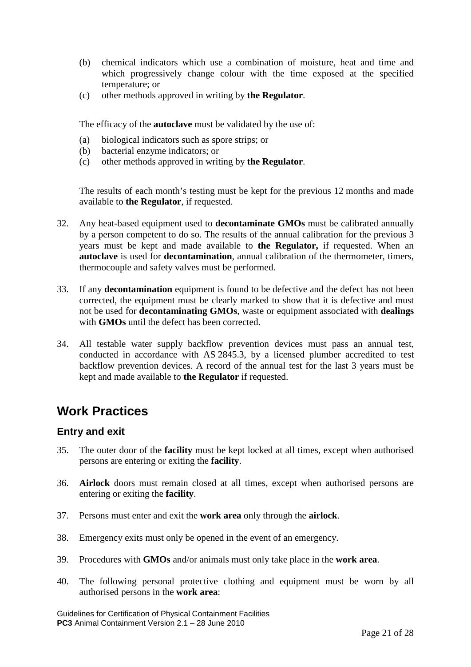- (b) chemical indicators which use a combination of moisture, heat and time and which progressively change colour with the time exposed at the specified temperature; or
- (c) other methods approved in writing by **the Regulator**.

The efficacy of the **autoclave** must be validated by the use of:

- (a) biological indicators such as spore strips; or
- (b) bacterial enzyme indicators; or
- (c) other methods approved in writing by **the Regulator**.

The results of each month's testing must be kept for the previous 12 months and made available to **the Regulator**, if requested.

- 32. Any heat-based equipment used to **decontaminate GMOs** must be calibrated annually by a person competent to do so. The results of the annual calibration for the previous 3 years must be kept and made available to **the Regulator,** if requested. When an **autoclave** is used for **decontamination**, annual calibration of the thermometer, timers, thermocouple and safety valves must be performed.
- 33. If any **decontamination** equipment is found to be defective and the defect has not been corrected, the equipment must be clearly marked to show that it is defective and must not be used for **decontaminating GMOs**, waste or equipment associated with **dealings** with **GMOs** until the defect has been corrected.
- 34. All testable water supply backflow prevention devices must pass an annual test, conducted in accordance with AS 2845.3, by a licensed plumber accredited to test backflow prevention devices. A record of the annual test for the last 3 years must be kept and made available to **the Regulator** if requested.

## <span id="page-20-0"></span>**Work Practices**

#### <span id="page-20-1"></span>**Entry and exit**

- 35. The outer door of the **facility** must be kept locked at all times, except when authorised persons are entering or exiting the **facility**.
- 36. **Airlock** doors must remain closed at all times, except when authorised persons are entering or exiting the **facility**.
- 37. Persons must enter and exit the **work area** only through the **airlock**.
- 38. Emergency exits must only be opened in the event of an emergency.
- 39. Procedures with **GMOs** and/or animals must only take place in the **work area**.
- 40. The following personal protective clothing and equipment must be worn by all authorised persons in the **work area**: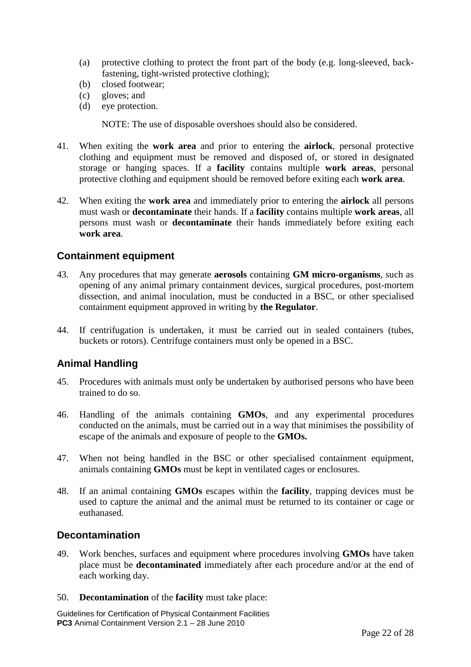- (a) protective clothing to protect the front part of the body (e.g. long-sleeved, backfastening, tight-wristed protective clothing);
- (b) closed footwear;
- (c) gloves; and
- (d) eye protection.

NOTE: The use of disposable overshoes should also be considered.

- 41. When exiting the **work area** and prior to entering the **airlock**, personal protective clothing and equipment must be removed and disposed of, or stored in designated storage or hanging spaces. If a **facility** contains multiple **work areas**, personal protective clothing and equipment should be removed before exiting each **work area**.
- 42. When exiting the **work area** and immediately prior to entering the **airlock** all persons must wash or **decontaminate** their hands. If a **facility** contains multiple **work areas**, all persons must wash or **decontaminate** their hands immediately before exiting each **work area**.

#### <span id="page-21-0"></span>**Containment equipment**

- 43. Any procedures that may generate **aerosols** containing **GM micro-organisms**, such as opening of any animal primary containment devices, surgical procedures, post-mortem dissection, and animal inoculation, must be conducted in a BSC, or other specialised containment equipment approved in writing by **the Regulator**.
- 44. If centrifugation is undertaken, it must be carried out in sealed containers (tubes, buckets or rotors). Centrifuge containers must only be opened in a BSC.

#### <span id="page-21-1"></span>**Animal Handling**

- 45. Procedures with animals must only be undertaken by authorised persons who have been trained to do so.
- 46. Handling of the animals containing **GMOs**, and any experimental procedures conducted on the animals, must be carried out in a way that minimises the possibility of escape of the animals and exposure of people to the **GMOs.**
- 47. When not being handled in the BSC or other specialised containment equipment, animals containing **GMOs** must be kept in ventilated cages or enclosures.
- 48. If an animal containing **GMOs** escapes within the **facility**, trapping devices must be used to capture the animal and the animal must be returned to its container or cage or euthanased.

#### <span id="page-21-2"></span>**Decontamination**

- 49. Work benches, surfaces and equipment where procedures involving **GMOs** have taken place must be **decontaminated** immediately after each procedure and/or at the end of each working day.
- 50. **Decontamination** of the **facility** must take place: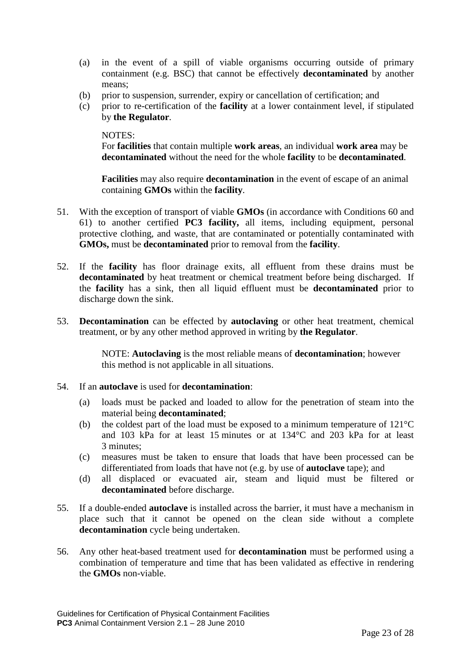- (a) in the event of a spill of viable organisms occurring outside of primary containment (e.g. BSC) that cannot be effectively **decontaminated** by another means;
- (b) prior to suspension, surrender, expiry or cancellation of certification; and
- (c) prior to re-certification of the **facility** at a lower containment level, if stipulated by **the Regulator**.

#### NOTES:

For **facilities** that contain multiple **work areas**, an individual **work area** may be **decontaminated** without the need for the whole **facility** to be **decontaminated**.

**Facilities** may also require **decontamination** in the event of escape of an animal containing **GMOs** within the **facility**.

- 51. With the exception of transport of viable **GMOs** (in accordance with Conditions 60 and 61) to another certified **PC3 facility,** all items, including equipment, personal protective clothing, and waste, that are contaminated or potentially contaminated with **GMOs,** must be **decontaminated** prior to removal from the **facility**.
- 52. If the **facility** has floor drainage exits, all effluent from these drains must be **decontaminated** by heat treatment or chemical treatment before being discharged. If the **facility** has a sink, then all liquid effluent must be **decontaminated** prior to discharge down the sink.
- 53. **Decontamination** can be effected by **autoclaving** or other heat treatment, chemical treatment, or by any other method approved in writing by **the Regulator**.

NOTE: **Autoclaving** is the most reliable means of **decontamination**; however this method is not applicable in all situations.

#### 54. If an **autoclave** is used for **decontamination**:

- (a) loads must be packed and loaded to allow for the penetration of steam into the material being **decontaminated**;
- (b) the coldest part of the load must be exposed to a minimum temperature of 121°C and 103 kPa for at least 15 minutes or at 134°C and 203 kPa for at least 3 minutes;
- (c) measures must be taken to ensure that loads that have been processed can be differentiated from loads that have not (e.g. by use of **autoclave** tape); and
- (d) all displaced or evacuated air, steam and liquid must be filtered or **decontaminated** before discharge.
- 55. If a double-ended **autoclave** is installed across the barrier, it must have a mechanism in place such that it cannot be opened on the clean side without a complete **decontamination** cycle being undertaken.
- 56. Any other heat-based treatment used for **decontamination** must be performed using a combination of temperature and time that has been validated as effective in rendering the **GMOs** non-viable.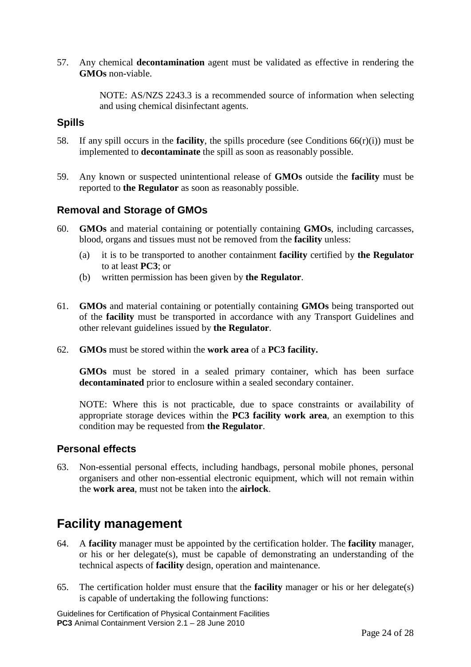57. Any chemical **decontamination** agent must be validated as effective in rendering the **GMOs** non-viable.

> NOTE: AS/NZS 2243.3 is a recommended source of information when selecting and using chemical disinfectant agents.

#### <span id="page-23-0"></span>**Spills**

- 58. If any spill occurs in the **facility**, the spills procedure (see Conditions 66(r)(i)) must be implemented to **decontaminate** the spill as soon as reasonably possible.
- 59. Any known or suspected unintentional release of **GMOs** outside the **facility** must be reported to **the Regulator** as soon as reasonably possible.

#### <span id="page-23-1"></span>**Removal and Storage of GMOs**

- 60. **GMOs** and material containing or potentially containing **GMOs**, including carcasses, blood, organs and tissues must not be removed from the **facility** unless:
	- (a) it is to be transported to another containment **facility** certified by **the Regulator** to at least **PC3**; or
	- (b) written permission has been given by **the Regulator**.
- 61. **GMOs** and material containing or potentially containing **GMOs** being transported out of the **facility** must be transported in accordance with any Transport Guidelines and other relevant guidelines issued by **the Regulator**.
- 62. **GMOs** must be stored within the **work area** of a **PC3 facility.**

**GMOs** must be stored in a sealed primary container, which has been surface **decontaminated** prior to enclosure within a sealed secondary container.

NOTE: Where this is not practicable, due to space constraints or availability of appropriate storage devices within the **PC3 facility work area**, an exemption to this condition may be requested from **the Regulator**.

#### <span id="page-23-2"></span>**Personal effects**

63. Non-essential personal effects, including handbags, personal mobile phones, personal organisers and other non-essential electronic equipment, which will not remain within the **work area**, must not be taken into the **airlock**.

### <span id="page-23-3"></span>**Facility management**

- 64. A **facility** manager must be appointed by the certification holder. The **facility** manager, or his or her delegate(s), must be capable of demonstrating an understanding of the technical aspects of **facility** design, operation and maintenance.
- 65. The certification holder must ensure that the **facility** manager or his or her delegate(s) is capable of undertaking the following functions: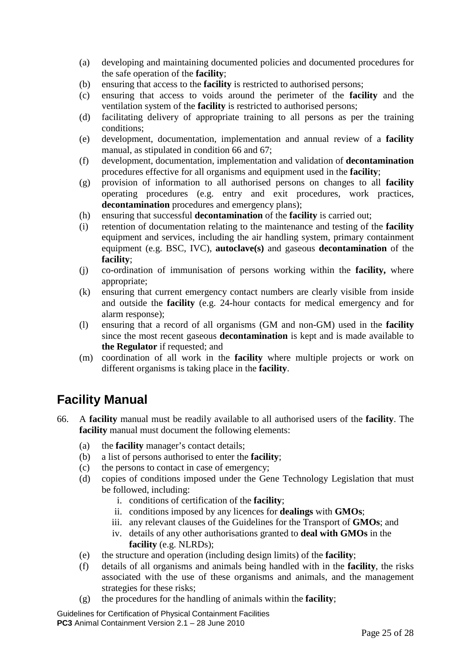- (a) developing and maintaining documented policies and documented procedures for the safe operation of the **facility**;
- (b) ensuring that access to the **facility** is restricted to authorised persons;
- (c) ensuring that access to voids around the perimeter of the **facility** and the ventilation system of the **facility** is restricted to authorised persons;
- (d) facilitating delivery of appropriate training to all persons as per the training conditions;
- (e) development, documentation, implementation and annual review of a **facility** manual, as stipulated in condition 66 and 67;
- (f) development, documentation, implementation and validation of **decontamination** procedures effective for all organisms and equipment used in the **facility**;
- (g) provision of information to all authorised persons on changes to all **facility** operating procedures (e.g. entry and exit procedures, work practices, **decontamination** procedures and emergency plans);
- (h) ensuring that successful **decontamination** of the **facility** is carried out;
- (i) retention of documentation relating to the maintenance and testing of the **facility** equipment and services, including the air handling system, primary containment equipment (e.g. BSC, IVC), **autoclave(s)** and gaseous **decontamination** of the **facility**;
- (j) co-ordination of immunisation of persons working within the **facility,** where appropriate;
- (k) ensuring that current emergency contact numbers are clearly visible from inside and outside the **facility** (e.g. 24-hour contacts for medical emergency and for alarm response);
- (l) ensuring that a record of all organisms (GM and non-GM) used in the **facility** since the most recent gaseous **decontamination** is kept and is made available to **the Regulator** if requested; and
- (m) coordination of all work in the **facility** where multiple projects or work on different organisms is taking place in the **facility**.

## <span id="page-24-0"></span>**Facility Manual**

- 66. A **facility** manual must be readily available to all authorised users of the **facility**. The **facility** manual must document the following elements:
	- (a) the **facility** manager's contact details;
	- (b) a list of persons authorised to enter the **facility**;
	- (c) the persons to contact in case of emergency;
	- (d) copies of conditions imposed under the Gene Technology Legislation that must be followed, including:
		- i. conditions of certification of the **facility**;
		- ii. conditions imposed by any licences for **dealings** with **GMOs**;
		- iii. any relevant clauses of the Guidelines for the Transport of **GMOs**; and
		- iv. details of any other authorisations granted to **deal with GMOs** in the **facility** (e.g. NLRDs);
	- (e) the structure and operation (including design limits) of the **facility**;
	- (f) details of all organisms and animals being handled with in the **facility**, the risks associated with the use of these organisms and animals, and the management strategies for these risks;
	- (g) the procedures for the handling of animals within the **facility**;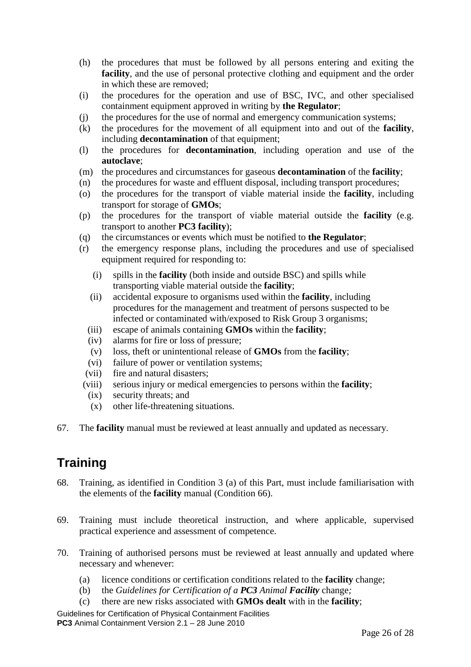- (h) the procedures that must be followed by all persons entering and exiting the **facility**, and the use of personal protective clothing and equipment and the order in which these are removed;
- (i) the procedures for the operation and use of BSC, IVC, and other specialised containment equipment approved in writing by **the Regulator**;
- (j) the procedures for the use of normal and emergency communication systems;
- (k) the procedures for the movement of all equipment into and out of the **facility**, including **decontamination** of that equipment;
- (l) the procedures for **decontamination**, including operation and use of the **autoclave**;
- (m) the procedures and circumstances for gaseous **decontamination** of the **facility**;
- (n) the procedures for waste and effluent disposal, including transport procedures;
- (o) the procedures for the transport of viable material inside the **facility**, including transport for storage of **GMOs**;
- (p) the procedures for the transport of viable material outside the **facility** (e.g. transport to another **PC3 facility**);
- (q) the circumstances or events which must be notified to **the Regulator**;
- (r) the emergency response plans, including the procedures and use of specialised equipment required for responding to:
	- (i) spills in the **facility** (both inside and outside BSC) and spills while transporting viable material outside the **facility**;
	- (ii) accidental exposure to organisms used within the **facility**, including procedures for the management and treatment of persons suspected to be infected or contaminated with/exposed to Risk Group 3 organisms;
	- (iii) escape of animals containing **GMOs** within the **facility**;
	- (iv) alarms for fire or loss of pressure;
	- (v) loss, theft or unintentional release of **GMOs** from the **facility**;
	- (vi) failure of power or ventilation systems;
	- (vii) fire and natural disasters;
- (viii) serious injury or medical emergencies to persons within the **facility**;
- (ix) security threats; and
- (x) other life-threatening situations.
- 67. The **facility** manual must be reviewed at least annually and updated as necessary.

## <span id="page-25-0"></span>**Training**

- 68. Training, as identified in Condition 3 (a) of this Part, must include familiarisation with the elements of the **facility** manual (Condition 66).
- 69. Training must include theoretical instruction, and where applicable, supervised practical experience and assessment of competence.
- 70. Training of authorised persons must be reviewed at least annually and updated where necessary and whenever:
	- (a) licence conditions or certification conditions related to the **facility** change;
	- (b) the *Guidelines for Certification of a PC3 Animal Facility* change*;*
	- (c) there are new risks associated with **GMOs dealt** with in the **facility**;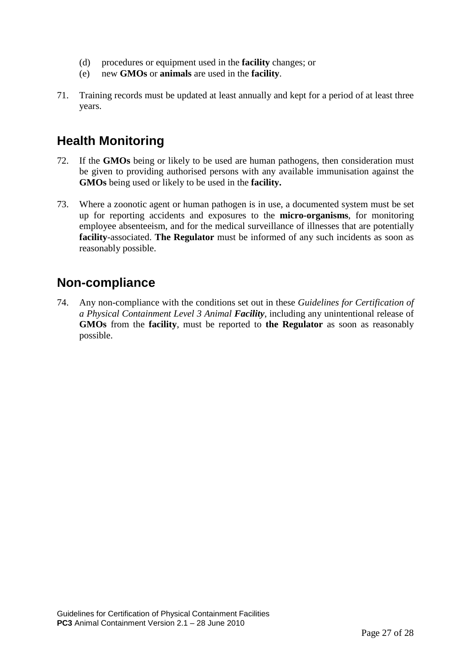- (d) procedures or equipment used in the **facility** changes; or
- (e) new **GMOs** or **animals** are used in the **facility**.
- 71. Training records must be updated at least annually and kept for a period of at least three years.

## <span id="page-26-0"></span>**Health Monitoring**

- 72. If the **GMOs** being or likely to be used are human pathogens, then consideration must be given to providing authorised persons with any available immunisation against the **GMOs** being used or likely to be used in the **facility.**
- 73. Where a zoonotic agent or human pathogen is in use, a documented system must be set up for reporting accidents and exposures to the **micro-organisms**, for monitoring employee absenteeism, and for the medical surveillance of illnesses that are potentially **facility**-associated. **The Regulator** must be informed of any such incidents as soon as reasonably possible.

## <span id="page-26-1"></span>**Non-compliance**

74. Any non-compliance with the conditions set out in these *Guidelines for Certification of a Physical Containment Level 3 Animal Facility*, including any unintentional release of **GMOs** from the **facility**, must be reported to **the Regulator** as soon as reasonably possible.